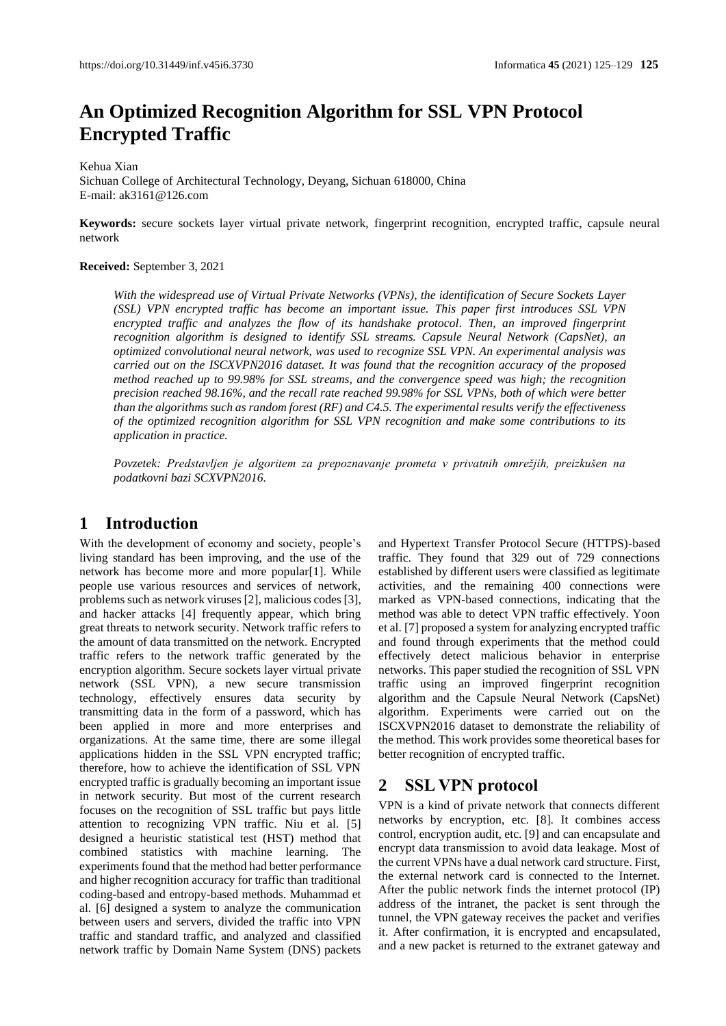# **An Optimized Recognition Algorithm for SSL VPN Protocol Encrypted Traffic**

#### Kehua Xian

Sichuan College of Architectural Technology, Deyang, Sichuan 618000, China E-mail: ak3161@126.com

**Keywords:** secure sockets layer virtual private network, fingerprint recognition, encrypted traffic, capsule neural network

#### **Received:** September 3, 2021

*With the widespread use of Virtual Private Networks (VPNs), the identification of Secure Sockets Layer (SSL) VPN encrypted traffic has become an important issue. This paper first introduces SSL VPN encrypted traffic and analyzes the flow of its handshake protocol. Then, an improved fingerprint recognition algorithm is designed to identify SSL streams. Capsule Neural Network (CapsNet), an optimized convolutional neural network, was used to recognize SSL VPN. An experimental analysis was carried out on the ISCXVPN2016 dataset. It was found that the recognition accuracy of the proposed method reached up to 99.98% for SSL streams, and the convergence speed was high; the recognition precision reached 98.16%, and the recall rate reached 99.98% for SSL VPNs, both of which were better than the algorithms such as random forest (RF) and C4.5. The experimental results verify the effectiveness of the optimized recognition algorithm for SSL VPN recognition and make some contributions to its application in practice.*

*Povzetek: Predstavljen je algoritem za prepoznavanje prometa v privatnih omrežjih, preizkušen na podatkovni bazi SCXVPN2016.*

## **1 Introduction**

With the development of economy and society, people's living standard has been improving, and the use of the network has become more and more popular[1]. While people use various resources and services of network, problems such as network viruses [2], malicious codes [3], and hacker attacks [4] frequently appear, which bring great threats to network security. Network traffic refers to the amount of data transmitted on the network. Encrypted traffic refers to the network traffic generated by the encryption algorithm. Secure sockets layer virtual private network (SSL VPN), a new secure transmission technology, effectively ensures data security by transmitting data in the form of a password, which has been applied in more and more enterprises and organizations. At the same time, there are some illegal applications hidden in the SSL VPN encrypted traffic; therefore, how to achieve the identification of SSL VPN encrypted traffic is gradually becoming an important issue in network security. But most of the current research focuses on the recognition of SSL traffic but pays little attention to recognizing VPN traffic. Niu et al. [5] designed a heuristic statistical test (HST) method that combined statistics with machine learning. The experiments found that the method had better performance and higher recognition accuracy for traffic than traditional coding-based and entropy-based methods. Muhammad et al. [6] designed a system to analyze the communication between users and servers, divided the traffic into VPN traffic and standard traffic, and analyzed and classified network traffic by Domain Name System (DNS) packets

and Hypertext Transfer Protocol Secure (HTTPS)-based traffic. They found that 329 out of 729 connections established by different users were classified as legitimate activities, and the remaining 400 connections were marked as VPN-based connections, indicating that the method was able to detect VPN traffic effectively. Yoon et al. [7] proposed a system for analyzing encrypted traffic and found through experiments that the method could effectively detect malicious behavior in enterprise networks. This paper studied the recognition of SSL VPN traffic using an improved fingerprint recognition algorithm and the Capsule Neural Network (CapsNet) algorithm. Experiments were carried out on the ISCXVPN2016 dataset to demonstrate the reliability of the method. This work provides some theoretical bases for better recognition of encrypted traffic.

## **2 SSL VPN protocol**

VPN is a kind of private network that connects different networks by encryption, etc. [8]. It combines access control, encryption audit, etc. [9] and can encapsulate and encrypt data transmission to avoid data leakage. Most of the current VPNs have a dual network card structure. First, the external network card is connected to the Internet. After the public network finds the internet protocol (IP) address of the intranet, the packet is sent through the tunnel, the VPN gateway receives the packet and verifies it. After confirmation, it is encrypted and encapsulated, and a new packet is returned to the extranet gateway and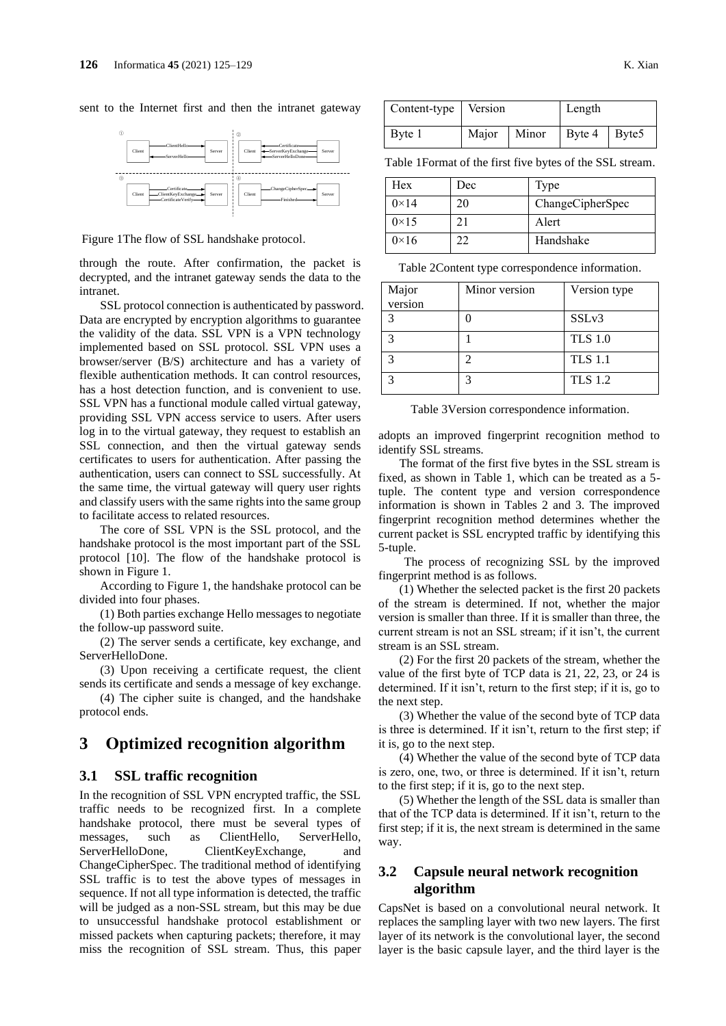sent to the Internet first and then the intranet gateway



Figure 1The flow of SSL handshake protocol.

through the route. After confirmation, the packet is decrypted, and the intranet gateway sends the data to the intranet.

SSL protocol connection is authenticated by password. Data are encrypted by encryption algorithms to guarantee the validity of the data. SSL VPN is a VPN technology implemented based on SSL protocol. SSL VPN uses a browser/server (B/S) architecture and has a variety of flexible authentication methods. It can control resources, has a host detection function, and is convenient to use. SSL VPN has a functional module called virtual gateway, providing SSL VPN access service to users. After users log in to the virtual gateway, they request to establish an SSL connection, and then the virtual gateway sends certificates to users for authentication. After passing the authentication, users can connect to SSL successfully. At the same time, the virtual gateway will query user rights and classify users with the same rights into the same group to facilitate access to related resources.

The core of SSL VPN is the SSL protocol, and the handshake protocol is the most important part of the SSL protocol [10]. The flow of the handshake protocol is shown in Figure 1.

According to Figure 1, the handshake protocol can be divided into four phases.

(1) Both parties exchange Hello messages to negotiate the follow-up password suite.

(2) The server sends a certificate, key exchange, and ServerHelloDone.

(3) Upon receiving a certificate request, the client sends its certificate and sends a message of key exchange.

(4) The cipher suite is changed, and the handshake protocol ends.

## **3 Optimized recognition algorithm**

#### **3.1 SSL traffic recognition**

In the recognition of SSL VPN encrypted traffic, the SSL traffic needs to be recognized first. In a complete handshake protocol, there must be several types of messages, such as ClientHello, ServerHello, ServerHelloDone, ClientKeyExchange, and ChangeCipherSpec. The traditional method of identifying SSL traffic is to test the above types of messages in sequence. If not all type information is detected, the traffic will be judged as a non-SSL stream, but this may be due to unsuccessful handshake protocol establishment or missed packets when capturing packets; therefore, it may miss the recognition of SSL stream. Thus, this paper

| Content-type   Version |       |       | Length        |  |
|------------------------|-------|-------|---------------|--|
| Byte 1                 | Major | Minor | Byte 4 Byte 5 |  |

Table 1Format of the first five bytes of the SSL stream.

| Hex           | Dec | Type             |
|---------------|-----|------------------|
| $0 \times 14$ | 20  | ChangeCipherSpec |
| $0\times15$   |     | Alert            |
| $0\times 16$  | 22  | Handshake        |

Table 2Content type correspondence information.

| Major   | Minor version | Version type      |
|---------|---------------|-------------------|
| version |               |                   |
|         |               | SSL <sub>v3</sub> |
|         |               | <b>TLS 1.0</b>    |
|         |               | <b>TLS 1.1</b>    |
|         | 2             | <b>TLS 1.2</b>    |

Table 3Version correspondence information.

adopts an improved fingerprint recognition method to identify SSL streams.

The format of the first five bytes in the SSL stream is fixed, as shown in Table 1, which can be treated as a 5 tuple. The content type and version correspondence information is shown in Tables 2 and 3. The improved fingerprint recognition method determines whether the current packet is SSL encrypted traffic by identifying this 5-tuple.

The process of recognizing SSL by the improved fingerprint method is as follows.

(1) Whether the selected packet is the first 20 packets of the stream is determined. If not, whether the major version is smaller than three. If it is smaller than three, the current stream is not an SSL stream; if it isn't, the current stream is an SSL stream.

(2) For the first 20 packets of the stream, whether the value of the first byte of TCP data is 21, 22, 23, or 24 is determined. If it isn't, return to the first step; if it is, go to the next step.

(3) Whether the value of the second byte of TCP data is three is determined. If it isn't, return to the first step; if it is, go to the next step.

(4) Whether the value of the second byte of TCP data is zero, one, two, or three is determined. If it isn't, return to the first step; if it is, go to the next step.

(5) Whether the length of the SSL data is smaller than that of the TCP data is determined. If it isn't, return to the first step; if it is, the next stream is determined in the same way.

### **3.2 Capsule neural network recognition algorithm**

CapsNet is based on a convolutional neural network. It replaces the sampling layer with two new layers. The first layer of its network is the convolutional layer, the second layer is the basic capsule layer, and the third layer is the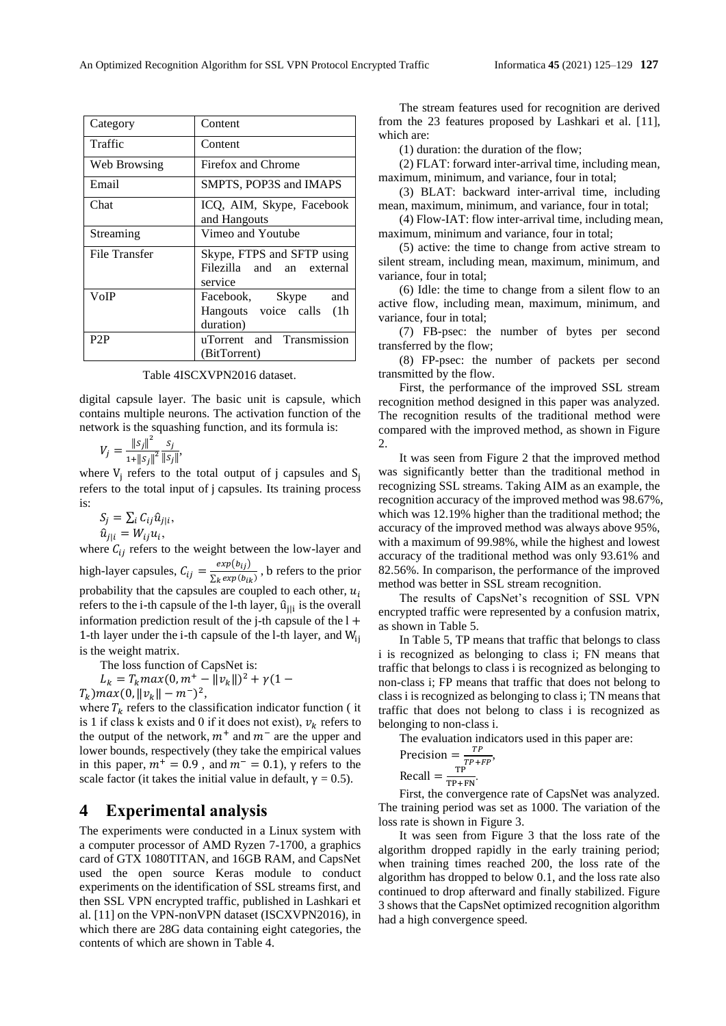| Category      | Content                                                             |  |
|---------------|---------------------------------------------------------------------|--|
| Traffic       | Content                                                             |  |
| Web Browsing  | Firefox and Chrome                                                  |  |
| Email         | SMPTS, POP3S and IMAPS                                              |  |
| Chat          | ICQ, AIM, Skype, Facebook<br>and Hangouts                           |  |
| Streaming     | Vimeo and Youtube                                                   |  |
| File Transfer | Skype, FTPS and SFTP using<br>Filezilla and an external<br>service  |  |
| VoIP          | Facebook, Skype<br>and<br>Hangouts voice calls<br>(1h)<br>duration) |  |
| P2P           | uTorrent and Transmission<br>(BitTorrent)                           |  |

digital capsule layer. The basic unit is capsule, which contains multiple neurons. The activation function of the network is the squashing function, and its formula is:

$$
V_j = \frac{\|s_j\|^2}{1 + \|s_j\|^2} \frac{s_j}{\|s_j\|},
$$

where  $V_j$  refers to the total output of j capsules and  $S_j$ refers to the total input of j capsules. Its training process is:

$$
S_j = \sum_i C_{ij} \hat{u}_{j|i},
$$
  

$$
\hat{u}_{j|i} = W_{ij} u_i,
$$

where  $C_{ij}$  refers to the weight between the low-layer and high-layer capsules,  $C_{ij} = \frac{exp(b_{ij})}{\sum_{i} exp(b_{ij})}$  $\frac{\exp(v_{ij})}{\sum_k \exp(b_{ik})}$ , b refers to the prior probability that the capsules are coupled to each other,  $u_i$ refers to the i-th capsule of the l-th layer,  $\hat{u}_{j|i}$  is the overall information prediction result of the j-th capsule of the  $l +$ 1-th layer under the i-th capsule of the l-th layer, and  $W_{ii}$ is the weight matrix.

The loss function of CapsNet is:

$$
L_k = T_k max(0, m^+ - ||v_k||)^2 + \gamma (1 -
$$

 $T_k$ ) max(0,  $||v_k|| - m^{-}$ )<sup>2</sup>,

where  $T_k$  refers to the classification indicator function (it is 1 if class k exists and 0 if it does not exist),  $v_k$  refers to the output of the network,  $m^{+}$  and  $m^{-}$  are the upper and lower bounds, respectively (they take the empirical values in this paper,  $m^+ = 0.9$ , and  $m^- = 0.1$ ),  $\gamma$  refers to the scale factor (it takes the initial value in default,  $\gamma = 0.5$ ).

## **4 Experimental analysis**

The experiments were conducted in a Linux system with a computer processor of AMD Ryzen 7-1700, a graphics card of GTX 1080TITAN, and 16GB RAM, and CapsNet used the open source Keras module to conduct experiments on the identification of SSL streams first, and then SSL VPN encrypted traffic, published in Lashkari et al. [11] on the VPN-nonVPN dataset (ISCXVPN2016), in which there are 28G data containing eight categories, the contents of which are shown in Table 4.

The stream features used for recognition are derived from the 23 features proposed by Lashkari et al. [11], which are:

(1) duration: the duration of the flow;

(2) FLAT: forward inter-arrival time, including mean, maximum, minimum, and variance, four in total;

(3) BLAT: backward inter-arrival time, including mean, maximum, minimum, and variance, four in total;

(4) Flow-IAT: flow inter-arrival time, including mean, maximum, minimum and variance, four in total;

(5) active: the time to change from active stream to silent stream, including mean, maximum, minimum, and variance, four in total;

(6) Idle: the time to change from a silent flow to an active flow, including mean, maximum, minimum, and variance, four in total;

(7) FB-psec: the number of bytes per second transferred by the flow;

(8) FP-psec: the number of packets per second transmitted by the flow.

First, the performance of the improved SSL stream recognition method designed in this paper was analyzed. The recognition results of the traditional method were compared with the improved method, as shown in Figure 2.

It was seen from Figure 2 that the improved method was significantly better than the traditional method in recognizing SSL streams. Taking AIM as an example, the recognition accuracy of the improved method was 98.67%, which was 12.19% higher than the traditional method; the accuracy of the improved method was always above 95%, with a maximum of 99.98%, while the highest and lowest accuracy of the traditional method was only 93.61% and 82.56%. In comparison, the performance of the improved method was better in SSL stream recognition.

The results of CapsNet's recognition of SSL VPN encrypted traffic were represented by a confusion matrix, as shown in Table 5.

In Table 5, TP means that traffic that belongs to class i is recognized as belonging to class i; FN means that traffic that belongs to class i is recognized as belonging to non-class i; FP means that traffic that does not belong to class i is recognized as belonging to class i; TN means that traffic that does not belong to class i is recognized as belonging to non-class i.

The evaluation indicators used in this paper are:

$$
Precision = \frac{TP}{TP + FP},
$$

$$
Recall = \frac{TP}{TP + FN}.
$$

First, the convergence rate of CapsNet was analyzed. The training period was set as 1000. The variation of the loss rate is shown in Figure 3.

It was seen from Figure 3 that the loss rate of the algorithm dropped rapidly in the early training period; when training times reached 200, the loss rate of the algorithm has dropped to below 0.1, and the loss rate also continued to drop afterward and finally stabilized. Figure 3 shows that the CapsNet optimized recognition algorithm had a high convergence speed.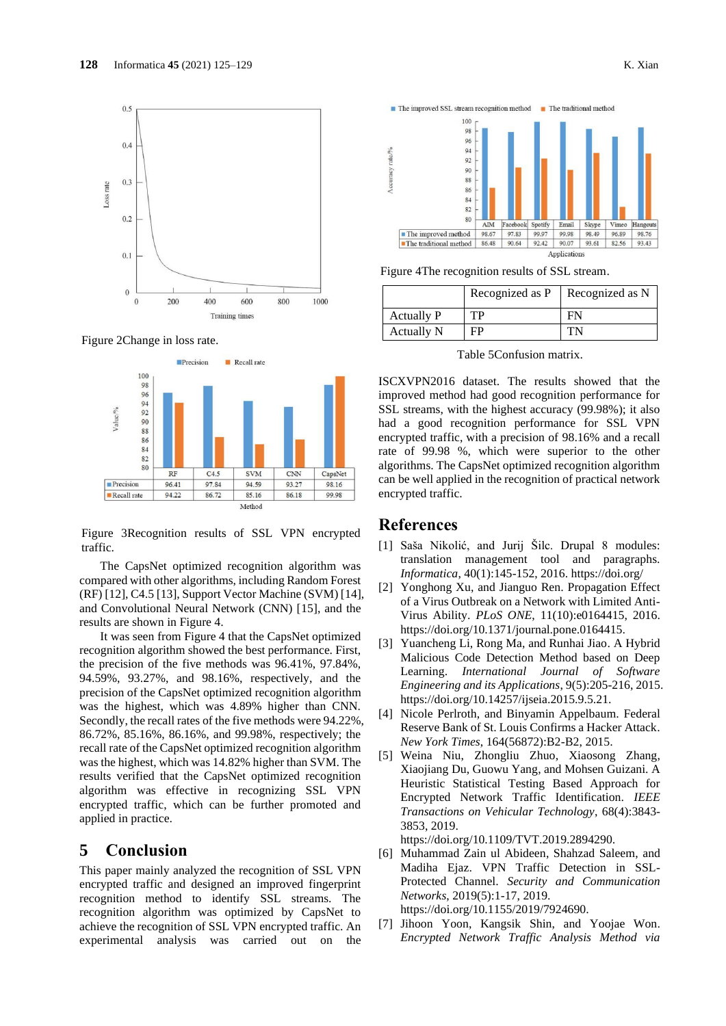

Figure 2Change in loss rate.



Figure 3Recognition results of SSL VPN encrypted traffic.

The CapsNet optimized recognition algorithm was compared with other algorithms, including Random Forest (RF) [12], C4.5 [13], Support Vector Machine (SVM) [14], and Convolutional Neural Network (CNN) [15], and the results are shown in Figure 4.

It was seen from Figure 4 that the CapsNet optimized recognition algorithm showed the best performance. First, the precision of the five methods was 96.41%, 97.84%, 94.59%, 93.27%, and 98.16%, respectively, and the precision of the CapsNet optimized recognition algorithm was the highest, which was 4.89% higher than CNN. Secondly, the recall rates of the five methods were 94.22%, 86.72%, 85.16%, 86.16%, and 99.98%, respectively; the recall rate of the CapsNet optimized recognition algorithm was the highest, which was 14.82% higher than SVM. The results verified that the CapsNet optimized recognition algorithm was effective in recognizing SSL VPN encrypted traffic, which can be further promoted and applied in practice.

## **5 Conclusion**

This paper mainly analyzed the recognition of SSL VPN encrypted traffic and designed an improved fingerprint recognition method to identify SSL streams. The recognition algorithm was optimized by CapsNet to achieve the recognition of SSL VPN encrypted traffic. An experimental analysis was carried out on the





Figure 4The recognition results of SSL stream.

|            | Recognized as P | Recognized as N |
|------------|-----------------|-----------------|
| Actually P | TР              | FN              |
| Actually N | FP              |                 |

Table 5Confusion matrix.

ISCXVPN2016 dataset. The results showed that the improved method had good recognition performance for SSL streams, with the highest accuracy (99.98%); it also had a good recognition performance for SSL VPN encrypted traffic, with a precision of 98.16% and a recall rate of 99.98 %, which were superior to the other algorithms. The CapsNet optimized recognition algorithm can be well applied in the recognition of practical network encrypted traffic.

## **References**

- [1] Saša Nikolić, and Jurij Šilc. Drupal 8 modules: translation management tool and paragraphs. *Informatica*, 40(1):145-152, 2016. https://doi.org/
- [2] Yonghong Xu, and Jianguo Ren. Propagation Effect of a Virus Outbreak on a Network with Limited Anti-Virus Ability. *PLoS ONE*, 11(10):e0164415, 2016. https://doi.org/10.1371/journal.pone.0164415.
- [3] Yuancheng Li, Rong Ma, and Runhai Jiao. A Hybrid Malicious Code Detection Method based on Deep Learning. *International Journal of Software Engineering and its Applications*, 9(5):205-216, 2015. https://doi.org/10.14257/ijseia.2015.9.5.21.
- [4] Nicole Perlroth, and Binyamin Appelbaum. Federal Reserve Bank of St. Louis Confirms a Hacker Attack. *New York Times*, 164(56872):B2-B2, 2015.
- [5] Weina Niu, Zhongliu Zhuo, Xiaosong Zhang, Xiaojiang Du, Guowu Yang, and Mohsen Guizani. A Heuristic Statistical Testing Based Approach for Encrypted Network Traffic Identification. *IEEE Transactions on Vehicular Technology*, 68(4):3843- 3853, 2019.

https://doi.org/10.1109/TVT.2019.2894290.

- [6] Muhammad Zain ul Abideen, Shahzad Saleem, and Madiha Ejaz. VPN Traffic Detection in SSL-Protected Channel. *Security and Communication Networks*, 2019(5):1-17, 2019. https://doi.org/10.1155/2019/7924690.
- [7] Jihoon Yoon, Kangsik Shin, and Yoojae Won. *Encrypted Network Traffic Analysis Method via*